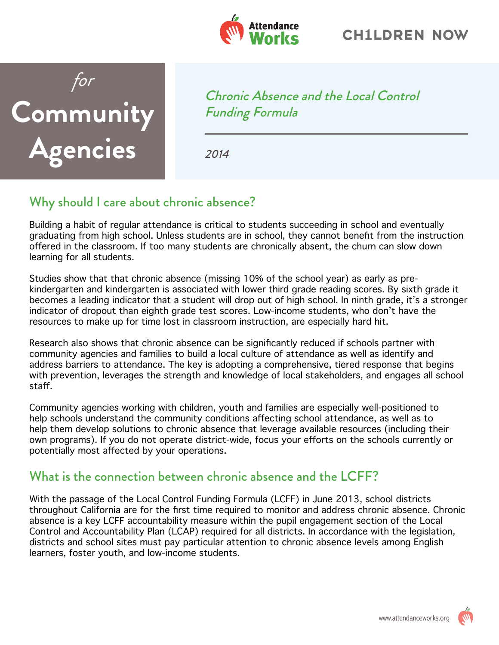



Chronic Absence and the Local Control Funding Formula

2014

## Why should I care about chronic absence?

Building a habit of regular attendance is critical to students succeeding in school and eventually graduating from high school. Unless students are in school, they cannot benefit from the instruction offered in the classroom. If too many students are chronically absent, the churn can slow down learning for all students.

Studies show that that chronic absence (missing 10% of the school year) as early as prekindergarten and kindergarten is associated with lower third grade reading scores. By sixth grade it becomes a leading indicator that a student will drop out of high school. In ninth grade, it's a stronger indicator of dropout than eighth grade test scores. Low-income students, who don't have the resources to make up for time lost in classroom instruction, are especially hard hit.

Research also shows that chronic absence can be significantly reduced if schools partner with community agencies and families to build a local culture of attendance as well as identify and address barriers to attendance. The key is adopting a comprehensive, tiered response that begins with prevention, leverages the strength and knowledge of local stakeholders, and engages all school staff.

Community agencies working with children, youth and families are especially well-positioned to help schools understand the community conditions affecting school attendance, as well as to help them develop solutions to chronic absence that leverage available resources (including their own programs). If you do not operate district-wide, focus your efforts on the schools currently or potentially most affected by your operations.

## What is the connection between chronic absence and the LCFF?

With the passage of the Local Control Funding Formula (LCFF) in June 2013, school districts throughout California are for the first time required to monitor and address chronic absence. Chronic absence is a key LCFF accountability measure within the pupil engagement section of the Local Control and Accountability Plan (LCAP) required for all districts. In accordance with the legislation, districts and school sites must pay particular attention to chronic absence levels among English learners, foster youth, and low-income students.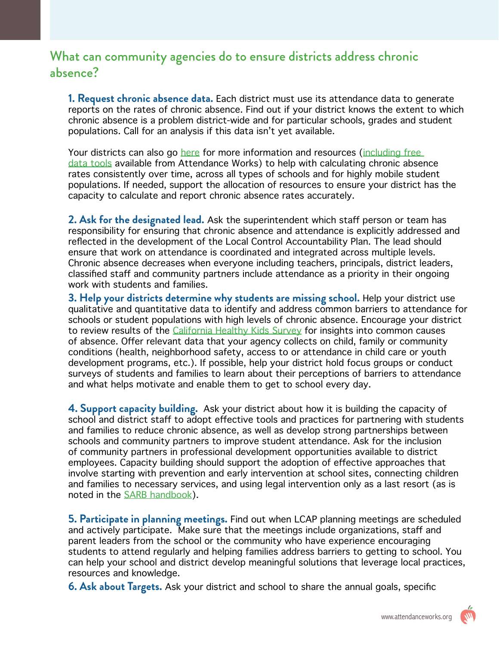## What can community agencies do to ensure districts address chronic absence?

**1. Request chronic absence data.** Each district must use its attendance data to generate reports on the rates of chronic absence. Find out if your district knows the extent to which chronic absence is a problem district-wide and for particular schools, grades and student populations. Call for an analysis if this data isn't yet available.

Your districts can also go [here](http://www.attendanceworks.org/wordpress/wp-content/uploads/2013/12/FAQ.pdf) for more information and resources (including free [data tools](http://www.attendanceworks.org/tools/tools-for-calculating-chronic-absence/) available from Attendance Works) to help with calculating chronic absence rates consistently over time, across all types of schools and for highly mobile student populations. If needed, support the allocation of resources to ensure your district has the capacity to calculate and report chronic absence rates accurately.

**2. Ask for the designated lead.** Ask the superintendent which staff person or team has responsibility for ensuring that chronic absence and attendance is explicitly addressed and reflected in the development of the Local Control Accountability Plan. The lead should ensure that work on attendance is coordinated and integrated across multiple levels. Chronic absence decreases when everyone including teachers, principals, district leaders, classified staff and community partners include attendance as a priority in their ongoing work with students and families.

**3. Help your districts determine why students are missing school.** Help your district use qualitative and quantitative data to identify and address common barriers to attendance for schools or student populations with high levels of chronic absence. Encourage your district to review results of the [California Healthy Kids](http://chks.wested.org/) Survey for insights into common causes of absence. Offer relevant data that your agency collects on child, family or community conditions (health, neighborhood safety, access to or attendance in child care or youth development programs, etc.). If possible, help your district hold focus groups or conduct surveys of students and families to learn about their perceptions of barriers to attendance and what helps motivate and enable them to get to school every day.

**4. Support capacity building.** Ask your district about how it is building the capacity of school and district staff to adopt effective tools and practices for partnering with students and families to reduce chronic absence, as well as develop strong partnerships between schools and community partners to improve student attendance. Ask for the inclusion of community partners in professional development opportunities available to district employees. Capacity building should support the adoption of effective approaches that involve starting with prevention and early intervention at school sites, connecting children and families to necessary services, and using legal intervention only as a last resort (as is noted in the **SARB** handbook).

**5. Participate in planning meetings.** Find out when LCAP planning meetings are scheduled and actively participate. Make sure that the meetings include organizations, staff and parent leaders from the school or the community who have experience encouraging students to attend regularly and helping families address barriers to getting to school. You can help your school and district develop meaningful solutions that leverage local practices, resources and knowledge.

**6. Ask about Targets.** Ask your district and school to share the annual goals, specific